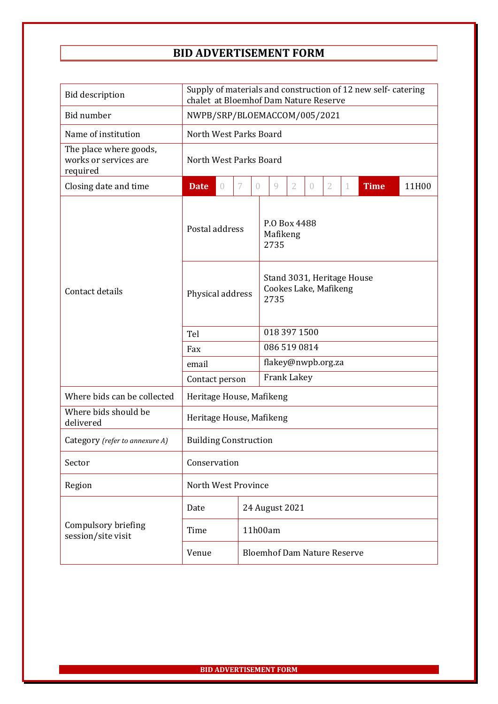## **BID ADVERTISEMENT FORM**

| <b>Bid description</b>                                      | Supply of materials and construction of 12 new self-catering<br>chalet at Bloemhof Dam Nature Reserve |          |   |                                    |                                                             |                |                  |                |   |             |       |  |
|-------------------------------------------------------------|-------------------------------------------------------------------------------------------------------|----------|---|------------------------------------|-------------------------------------------------------------|----------------|------------------|----------------|---|-------------|-------|--|
| Bid number                                                  | NWPB/SRP/BLOEMACCOM/005/2021                                                                          |          |   |                                    |                                                             |                |                  |                |   |             |       |  |
| Name of institution                                         | North West Parks Board                                                                                |          |   |                                    |                                                             |                |                  |                |   |             |       |  |
| The place where goods,<br>works or services are<br>required | North West Parks Board                                                                                |          |   |                                    |                                                             |                |                  |                |   |             |       |  |
| Closing date and time                                       | <b>Date</b>                                                                                           | $\theta$ | 7 | $\left( \right)$                   | 9                                                           | $\overline{2}$ | $\left( \right)$ | $\overline{2}$ | 1 | <b>Time</b> | 11H00 |  |
| Contact details                                             | Postal address                                                                                        |          |   |                                    | P.O Box 4488<br>Mafikeng<br>2735                            |                |                  |                |   |             |       |  |
|                                                             | Physical address                                                                                      |          |   |                                    | Stand 3031, Heritage House<br>Cookes Lake, Mafikeng<br>2735 |                |                  |                |   |             |       |  |
|                                                             | Tel                                                                                                   |          |   |                                    | 018 397 1500                                                |                |                  |                |   |             |       |  |
|                                                             | Fax                                                                                                   |          |   |                                    | 086 519 0814                                                |                |                  |                |   |             |       |  |
|                                                             | email                                                                                                 |          |   |                                    | flakey@nwpb.org.za                                          |                |                  |                |   |             |       |  |
|                                                             | Contact person                                                                                        |          |   |                                    | Frank Lakey                                                 |                |                  |                |   |             |       |  |
| Where bids can be collected                                 | Heritage House, Mafikeng                                                                              |          |   |                                    |                                                             |                |                  |                |   |             |       |  |
| Where bids should be<br>delivered                           | Heritage House, Mafikeng                                                                              |          |   |                                    |                                                             |                |                  |                |   |             |       |  |
| Category (refer to annexure A)                              | <b>Building Construction</b>                                                                          |          |   |                                    |                                                             |                |                  |                |   |             |       |  |
| Sector                                                      | Conservation                                                                                          |          |   |                                    |                                                             |                |                  |                |   |             |       |  |
| Region                                                      | North West Province                                                                                   |          |   |                                    |                                                             |                |                  |                |   |             |       |  |
| Compulsory briefing<br>session/site visit                   | Date                                                                                                  |          |   |                                    | 24 August 2021                                              |                |                  |                |   |             |       |  |
|                                                             | Time                                                                                                  |          |   |                                    | 11h00am                                                     |                |                  |                |   |             |       |  |
|                                                             | Venue                                                                                                 |          |   | <b>Bloemhof Dam Nature Reserve</b> |                                                             |                |                  |                |   |             |       |  |